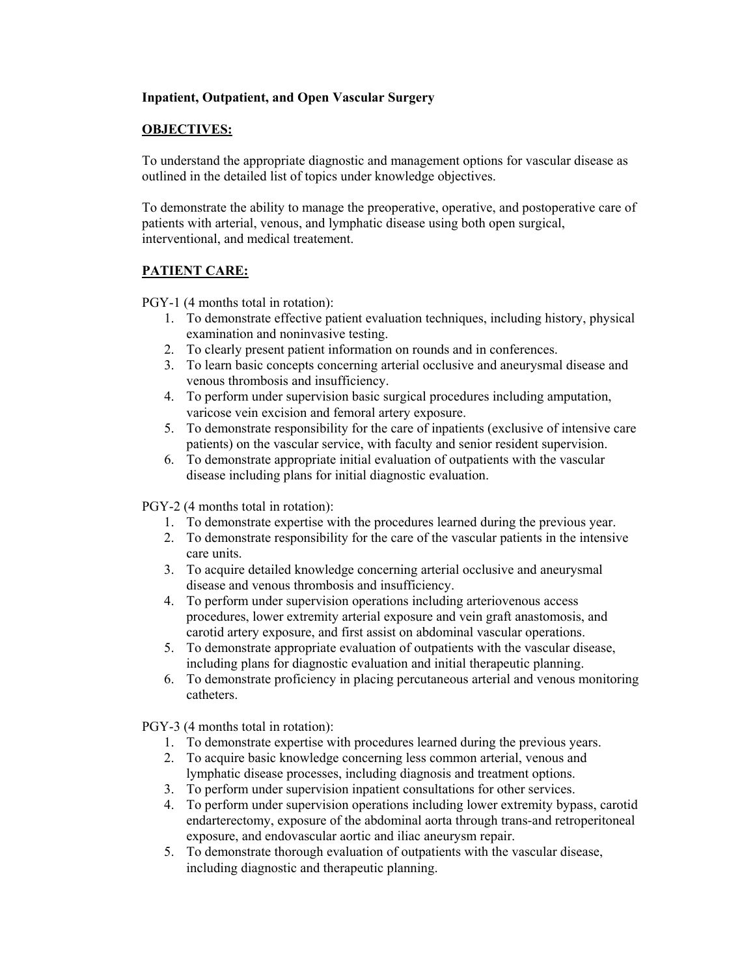## **Inpatient, Outpatient, and Open Vascular Surgery**

## **OBJECTIVES:**

To understand the appropriate diagnostic and management options for vascular disease as outlined in the detailed list of topics under knowledge objectives.

To demonstrate the ability to manage the preoperative, operative, and postoperative care of patients with arterial, venous, and lymphatic disease using both open surgical, interventional, and medical treatement.

## **PATIENT CARE:**

PGY-1 (4 months total in rotation):

- 1. To demonstrate effective patient evaluation techniques, including history, physical examination and noninvasive testing.
- 2. To clearly present patient information on rounds and in conferences.
- 3. To learn basic concepts concerning arterial occlusive and aneurysmal disease and venous thrombosis and insufficiency.
- 4. To perform under supervision basic surgical procedures including amputation, varicose vein excision and femoral artery exposure.
- 5. To demonstrate responsibility for the care of inpatients (exclusive of intensive care patients) on the vascular service, with faculty and senior resident supervision.
- 6. To demonstrate appropriate initial evaluation of outpatients with the vascular disease including plans for initial diagnostic evaluation.

PGY-2 (4 months total in rotation):

- 1. To demonstrate expertise with the procedures learned during the previous year.
- 2. To demonstrate responsibility for the care of the vascular patients in the intensive care units.
- 3. To acquire detailed knowledge concerning arterial occlusive and aneurysmal disease and venous thrombosis and insufficiency.
- 4. To perform under supervision operations including arteriovenous access procedures, lower extremity arterial exposure and vein graft anastomosis, and carotid artery exposure, and first assist on abdominal vascular operations.
- 5. To demonstrate appropriate evaluation of outpatients with the vascular disease, including plans for diagnostic evaluation and initial therapeutic planning.
- 6. To demonstrate proficiency in placing percutaneous arterial and venous monitoring catheters.

PGY-3 (4 months total in rotation):

- 1. To demonstrate expertise with procedures learned during the previous years.
- 2. To acquire basic knowledge concerning less common arterial, venous and lymphatic disease processes, including diagnosis and treatment options.
- 3. To perform under supervision inpatient consultations for other services.
- 4. To perform under supervision operations including lower extremity bypass, carotid endarterectomy, exposure of the abdominal aorta through trans-and retroperitoneal exposure, and endovascular aortic and iliac aneurysm repair.
- 5. To demonstrate thorough evaluation of outpatients with the vascular disease, including diagnostic and therapeutic planning.